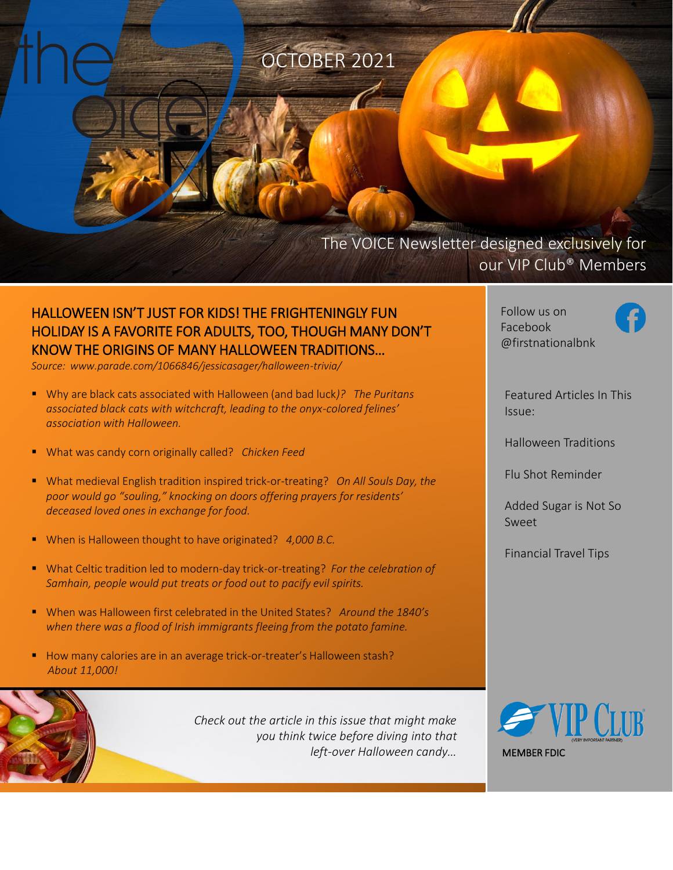OCTOBER 2021

## The VOICE Newsletter designed exclusively for our VIP Club® Members

### HALLOWEEN ISN'T JUST FOR KIDS! THE FRIGHTENINGLY FUN HOLIDAY IS A FAVORITE FOR ADULTS, TOO, THOUGH MANY DON'T KNOW THE ORIGINS OF MANY HALLOWEEN TRADITIONS…

*Source: www.parade.com/1066846/jessicasager/halloween-trivia/*

- Why are black cats associated with Halloween (and bad luck)? The Puritans *associated black cats with witchcraft, leading to the onyx-colored felines' association with Halloween.*
- What was candy corn originally called? *Chicken Feed*
- What medieval English tradition inspired trick-or-treating? *On All Souls Day, the poor would go "souling," knocking on doors offering prayers for residents' deceased loved ones in exchange for food.*
- When is Halloween thought to have originated? 4,000 B.C.
- What Celtic tradition led to modern-day trick-or-treating? For the celebration of *Samhain, people would put treats or food out to pacify evil spirits.*
- When was Halloween first celebrated in the United States? *Around the 1840's when there was a flood of Irish immigrants fleeing from the potato famine.*
- How many calories are in an average trick-or-treater's Halloween stash? *About 11,000!*

*Check out the article in this issue that might make you think twice before diving into that left-over Halloween candy…* Follow us on Facebook @firstnationalbnk



Featured Articles In This Issue:

Halloween Traditions

Flu Shot Reminder

Added Sugar is Not So Sweet

Financial Travel Tips

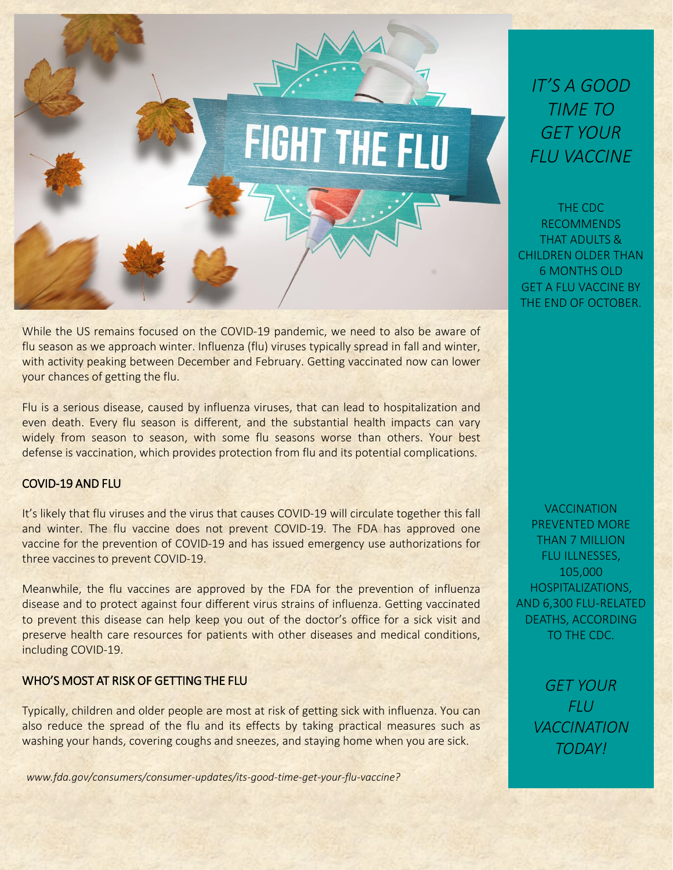

While the US remains focused on the COVID-19 pandemic, we need to also be aware of flu season as we approach winter. Influenza (flu) viruses typically spread in fall and winter, with activity peaking between December and February. Getting vaccinated now can lower your chances of getting the flu.

Flu is a serious disease, caused by influenza viruses, that can lead to hospitalization and even death. Every flu season is different, and the substantial health impacts can vary widely from season to season, with some flu seasons worse than others. Your best defense is vaccination, which provides protection from flu and its potential complications.

### COVID-19 AND FLU

It's likely that flu viruses and the virus that causes COVID-19 will circulate together this fall and winter. The flu vaccine does not prevent COVID-19. The FDA has approved one vaccine for the prevention of COVID-19 and has issued emergency use authorizations for three vaccines to prevent COVID-19.

Meanwhile, the flu vaccines are approved by the FDA for the prevention of influenza disease and to protect against four different virus strains of influenza. Getting vaccinated to prevent this disease can help keep you out of the doctor's office for a sick visit and preserve health care resources for patients with other diseases and medical conditions, including COVID-19.

#### WHO'S MOST AT RISK OF GETTING THE FLU

Typically, children and older people are most at risk of getting sick with influenza. You can also reduce the spread of the flu and its effects by taking practical measures such as washing your hands, covering coughs and sneezes, and staying home when you are sick.

*www.fda.gov/consumers/consumer-updates/its-good-time-get-your-flu-vaccine?*

*IT'S A GOOD TIME TO GET YOUR FLU VACCINE*

THE CDC RECOMMENDS THAT ADULTS & CHILDREN OLDER THAN 6 MONTHS OLD GET A FLU VACCINE BY THE END OF OCTOBER.

**VACCINATION** PREVENTED MORE THAN 7 MILLION FLU ILLNESSES, 105,000 HOSPITALIZATIONS, AND 6,300 FLU-RELATED DEATHS, ACCORDING TO THE CDC.

> *GET YOUR FLU VACCINATION TODAY!*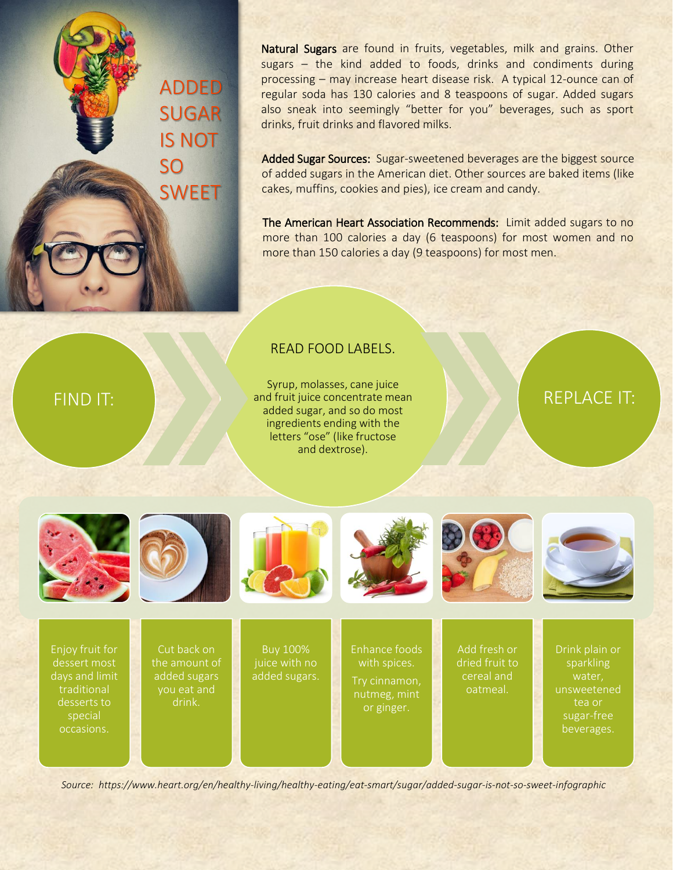ADDED SUGAR IS NOT SO **SWEET** 

Natural Sugars are found in fruits, vegetables, milk and grains. Other sugars – the kind added to foods, drinks and condiments during processing – may increase heart disease risk. A typical 12-ounce can of regular soda has 130 calories and 8 teaspoons of sugar. Added sugars also sneak into seemingly "better for you" beverages, such as sport drinks, fruit drinks and flavored milks.

Added Sugar Sources: Sugar-sweetened beverages are the biggest source of added sugars in the American diet. Other sources are baked items (like cakes, muffins, cookies and pies), ice cream and candy.

The American Heart Association Recommends: Limit added sugars to no more than 100 calories a day (6 teaspoons) for most women and no more than 150 calories a day (9 teaspoons) for most men.

### READ FOOD LABELS.

Syrup, molasses, cane juice and fruit juice concentrate mean added sugar, and so do most ingredients ending with the letters "ose" (like fructose and dextrose).

## REPLACE IT:



FIND IT:











Enjoy fruit for dessert most days and limit traditional desserts to special occasions.

Cut back on the amount of added sugars you eat and drink.

Buy 100% juice with no added sugars. Enhance foods Try cinnamon, nutmeg, mint

or ginger.

Add fresh or dried fruit to cereal and oatmeal.

sparkling water, unsweetened tea or sugar-free beverages.

*Source: https://www.heart.org/en/healthy-living/healthy-eating/eat-smart/sugar/added-sugar-is-not-so-sweet-infographic*